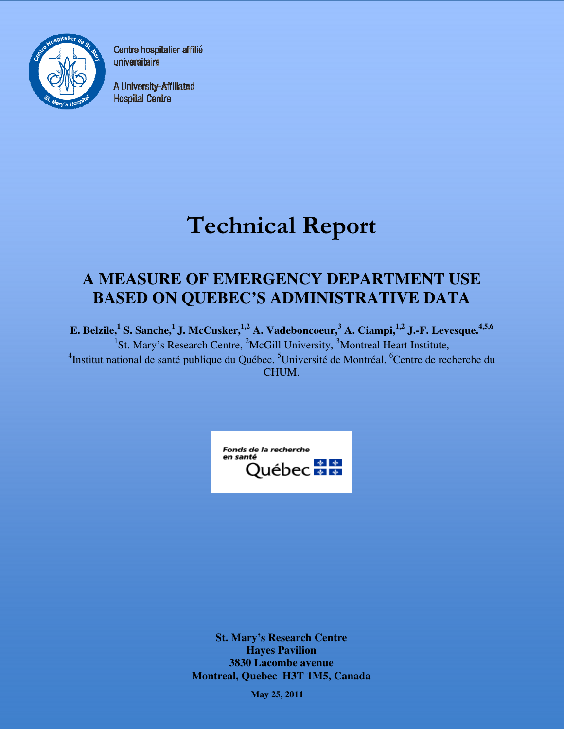

Centre hospitalier affilié universitaire

A University-Affiliated **Hospital Centre** 

# Technical Report

# **A MEASURE OF EMERGENCY DEPARTMENT USE BASED ON QUEBEC'S ADMINISTRATIVE DATA**

**E. Belzile,<sup>1</sup> S. Sanche,<sup>1</sup>J. McCusker,1,2 A. Vadeboncoeur,<sup>3</sup> A. Ciampi,1,2 J.-F. Levesque.4,5,6** <sup>1</sup>St. Mary's Research Centre, <sup>2</sup>McGill University, <sup>3</sup>Montreal Heart Institute, <sup>4</sup>Institut national de santé publique du Québec, <sup>5</sup>Université de Montréal, <sup>6</sup>Centre de recherche du CHUM.



**St. Mary's Research Centre Hayes Pavilion 3830 Lacombe avenue Montreal, Quebec H3T 1M5, Canada** 

**May 25, 2011**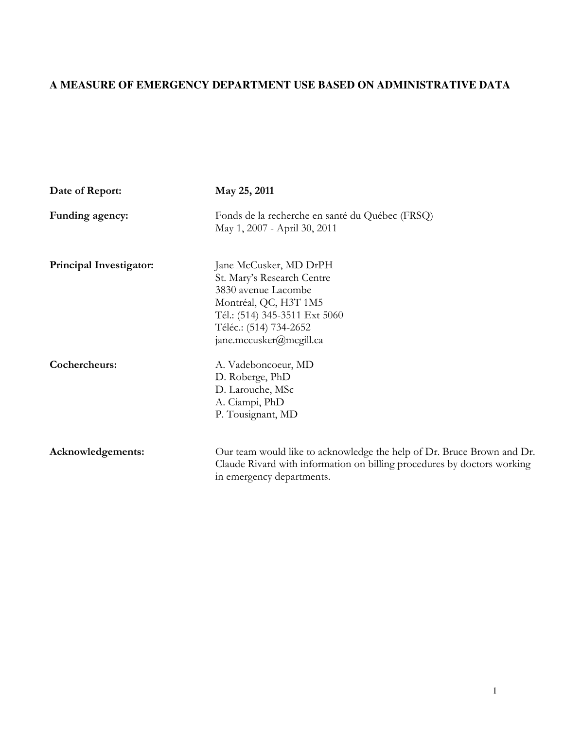# **A MEASURE OF EMERGENCY DEPARTMENT USE BASED ON ADMINISTRATIVE DATA**

| Date of Report:                | May 25, 2011                                                                                                                                                                               |
|--------------------------------|--------------------------------------------------------------------------------------------------------------------------------------------------------------------------------------------|
| Funding agency:                | Fonds de la recherche en santé du Québec (FRSQ)<br>May 1, 2007 - April 30, 2011                                                                                                            |
| <b>Principal Investigator:</b> | Jane McCusker, MD DrPH<br>St. Mary's Research Centre<br>3830 avenue Lacombe<br>Montréal, QC, H3T 1M5<br>Tél.: (514) 345-3511 Ext 5060<br>Téléc.: (514) 734-2652<br>jane.mccusker@mcgill.ca |
| Cochercheurs:                  | A. Vadeboncoeur, MD<br>D. Roberge, PhD<br>D. Larouche, MSc<br>A. Ciampi, PhD<br>P. Tousignant, MD                                                                                          |
| Acknowledgements:              | Our team would like to acknowledge the help of Dr. Bruce Brown and Dr.<br>Claude Rivard with information on billing procedures by doctors working<br>in emergency departments.             |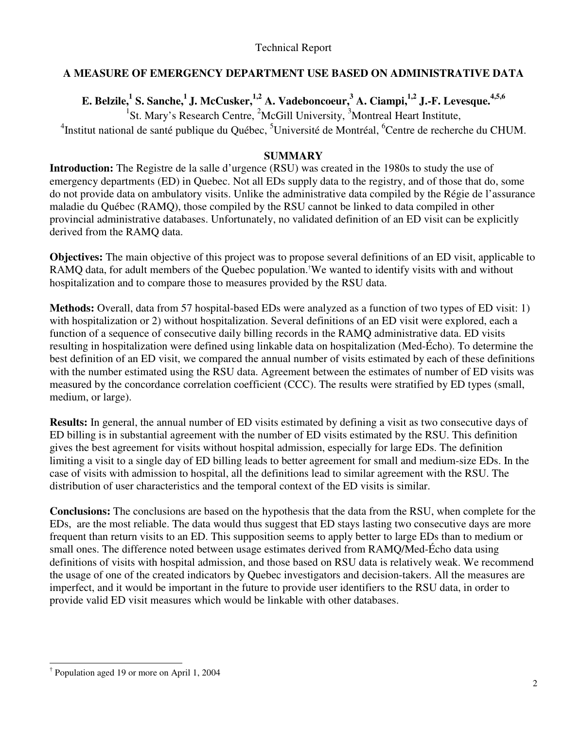# Technical Report

# **A MEASURE OF EMERGENCY DEPARTMENT USE BASED ON ADMINISTRATIVE DATA**

**E. Belzile,<sup>1</sup> S. Sanche,<sup>1</sup>J. McCusker,1,2 A. Vadeboncoeur,<sup>3</sup> A. Ciampi,1,2 J.-F. Levesque.4,5,6**

<sup>1</sup>St. Mary's Research Centre, <sup>2</sup>McGill University, <sup>3</sup>Montreal Heart Institute,

<sup>4</sup>Institut national de santé publique du Québec, <sup>5</sup>Université de Montréal, <sup>6</sup>Centre de recherche du CHUM.

#### **SUMMARY**

**Introduction:** The Registre de la salle d'urgence (RSU) was created in the 1980s to study the use of emergency departments (ED) in Quebec. Not all EDs supply data to the registry, and of those that do, some do not provide data on ambulatory visits. Unlike the administrative data compiled by the Régie de l'assurance maladie du Québec (RAMQ), those compiled by the RSU cannot be linked to data compiled in other provincial administrative databases. Unfortunately, no validated definition of an ED visit can be explicitly derived from the RAMQ data.

**Objectives:** The main objective of this project was to propose several definitions of an ED visit, applicable to RAMO data, for adult members of the Quebec population.<sup>†</sup>We wanted to identify visits with and without hospitalization and to compare those to measures provided by the RSU data.

**Methods:** Overall, data from 57 hospital-based EDs were analyzed as a function of two types of ED visit: 1) with hospitalization or 2) without hospitalization. Several definitions of an ED visit were explored, each a function of a sequence of consecutive daily billing records in the RAMQ administrative data. ED visits resulting in hospitalization were defined using linkable data on hospitalization (Med-Écho). To determine the best definition of an ED visit, we compared the annual number of visits estimated by each of these definitions with the number estimated using the RSU data. Agreement between the estimates of number of ED visits was measured by the concordance correlation coefficient (CCC). The results were stratified by ED types (small, medium, or large).

**Results:** In general, the annual number of ED visits estimated by defining a visit as two consecutive days of ED billing is in substantial agreement with the number of ED visits estimated by the RSU. This definition gives the best agreement for visits without hospital admission, especially for large EDs. The definition limiting a visit to a single day of ED billing leads to better agreement for small and medium-size EDs. In the case of visits with admission to hospital, all the definitions lead to similar agreement with the RSU. The distribution of user characteristics and the temporal context of the ED visits is similar.

**Conclusions:** The conclusions are based on the hypothesis that the data from the RSU, when complete for the EDs, are the most reliable. The data would thus suggest that ED stays lasting two consecutive days are more frequent than return visits to an ED. This supposition seems to apply better to large EDs than to medium or small ones. The difference noted between usage estimates derived from RAMQ/Med-Écho data using definitions of visits with hospital admission, and those based on RSU data is relatively weak. We recommend the usage of one of the created indicators by Quebec investigators and decision-takers. All the measures are imperfect, and it would be important in the future to provide user identifiers to the RSU data, in order to provide valid ED visit measures which would be linkable with other databases.

l

<sup>†</sup> Population aged 19 or more on April 1, 2004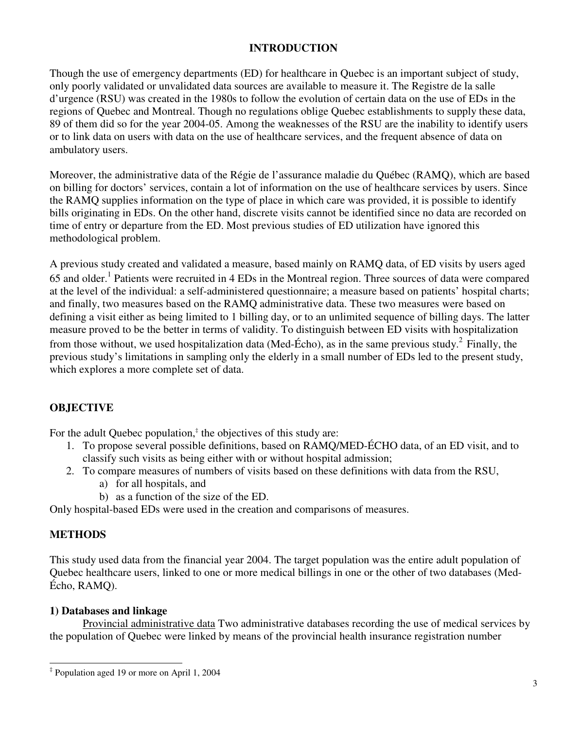# **INTRODUCTION**

Though the use of emergency departments (ED) for healthcare in Quebec is an important subject of study, only poorly validated or unvalidated data sources are available to measure it. The Registre de la salle d'urgence (RSU) was created in the 1980s to follow the evolution of certain data on the use of EDs in the regions of Quebec and Montreal. Though no regulations oblige Quebec establishments to supply these data, 89 of them did so for the year 2004-05. Among the weaknesses of the RSU are the inability to identify users or to link data on users with data on the use of healthcare services, and the frequent absence of data on ambulatory users.

Moreover, the administrative data of the Régie de l'assurance maladie du Québec (RAMQ), which are based on billing for doctors' services, contain a lot of information on the use of healthcare services by users. Since the RAMQ supplies information on the type of place in which care was provided, it is possible to identify bills originating in EDs. On the other hand, discrete visits cannot be identified since no data are recorded on time of entry or departure from the ED. Most previous studies of ED utilization have ignored this methodological problem.

A previous study created and validated a measure, based mainly on RAMQ data, of ED visits by users aged 65 and older.<sup>1</sup> Patients were recruited in 4 EDs in the Montreal region. Three sources of data were compared at the level of the individual: a self-administered questionnaire; a measure based on patients' hospital charts; and finally, two measures based on the RAMQ administrative data. These two measures were based on defining a visit either as being limited to 1 billing day, or to an unlimited sequence of billing days. The latter measure proved to be the better in terms of validity. To distinguish between ED visits with hospitalization from those without, we used hospitalization data (Med-Écho), as in the same previous study.  $2$  Finally, the previous study's limitations in sampling only the elderly in a small number of EDs led to the present study, which explores a more complete set of data.

# **OBJECTIVE**

For the adult Quebec population, $\ddot{z}$  the objectives of this study are:

- 1. To propose several possible definitions, based on RAMQ/MED-ÉCHO data, of an ED visit, and to classify such visits as being either with or without hospital admission;
- 2. To compare measures of numbers of visits based on these definitions with data from the RSU,
	- a) for all hospitals, and
	- b) as a function of the size of the ED.

Only hospital-based EDs were used in the creation and comparisons of measures.

# **METHODS**

l

This study used data from the financial year 2004. The target population was the entire adult population of Quebec healthcare users, linked to one or more medical billings in one or the other of two databases (Med-Écho, RAMQ).

# **1) Databases and linkage**

Provincial administrative data Two administrative databases recording the use of medical services by the population of Quebec were linked by means of the provincial health insurance registration number

<sup>‡</sup> Population aged 19 or more on April 1, 2004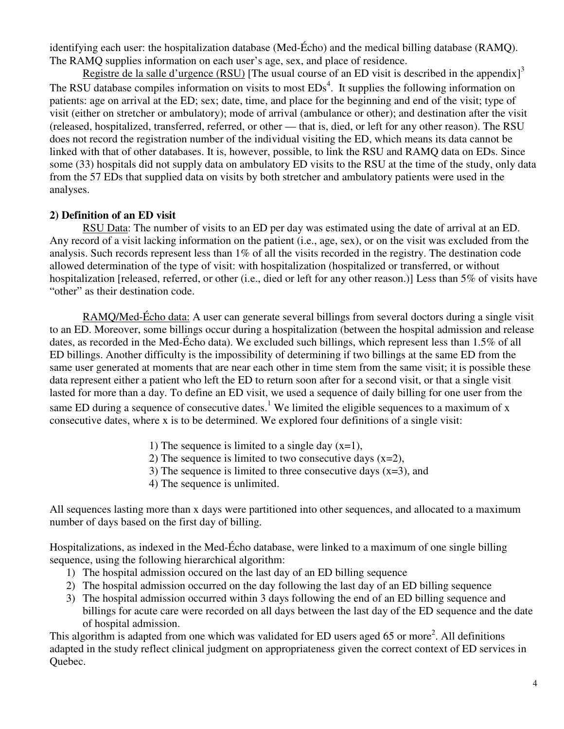identifying each user: the hospitalization database (Med-Écho) and the medical billing database (RAMQ). The RAMQ supplies information on each user's age, sex, and place of residence.

Registre de la salle d'urgence (RSU) [The usual course of an ED visit is described in the appendix]<sup>3</sup> The RSU database compiles information on visits to most  $EDs<sup>4</sup>$ . It supplies the following information on patients: age on arrival at the ED; sex; date, time, and place for the beginning and end of the visit; type of visit (either on stretcher or ambulatory); mode of arrival (ambulance or other); and destination after the visit (released, hospitalized, transferred, referred, or other — that is, died, or left for any other reason). The RSU does not record the registration number of the individual visiting the ED, which means its data cannot be linked with that of other databases. It is, however, possible, to link the RSU and RAMQ data on EDs. Since some (33) hospitals did not supply data on ambulatory ED visits to the RSU at the time of the study, only data from the 57 EDs that supplied data on visits by both stretcher and ambulatory patients were used in the analyses.

# **2) Definition of an ED visit**

RSU Data: The number of visits to an ED per day was estimated using the date of arrival at an ED. Any record of a visit lacking information on the patient (i.e., age, sex), or on the visit was excluded from the analysis. Such records represent less than 1% of all the visits recorded in the registry. The destination code allowed determination of the type of visit: with hospitalization (hospitalized or transferred, or without hospitalization [released, referred, or other (i.e., died or left for any other reason.)] Less than 5% of visits have "other" as their destination code.

RAMQ/Med-Écho data: A user can generate several billings from several doctors during a single visit to an ED. Moreover, some billings occur during a hospitalization (between the hospital admission and release dates, as recorded in the Med-Écho data). We excluded such billings, which represent less than 1.5% of all ED billings. Another difficulty is the impossibility of determining if two billings at the same ED from the same user generated at moments that are near each other in time stem from the same visit; it is possible these data represent either a patient who left the ED to return soon after for a second visit, or that a single visit lasted for more than a day. To define an ED visit, we used a sequence of daily billing for one user from the same ED during a sequence of consecutive dates.<sup>1</sup> We limited the eligible sequences to a maximum of x consecutive dates, where x is to be determined. We explored four definitions of a single visit:

- 1) The sequence is limited to a single day  $(x=1)$ ,
- 2) The sequence is limited to two consecutive days  $(x=2)$ ,
- 3) The sequence is limited to three consecutive days  $(x=3)$ , and
- 4) The sequence is unlimited.

All sequences lasting more than x days were partitioned into other sequences, and allocated to a maximum number of days based on the first day of billing.

Hospitalizations, as indexed in the Med-Écho database, were linked to a maximum of one single billing sequence, using the following hierarchical algorithm:

- 1) The hospital admission occured on the last day of an ED billing sequence
- 2) The hospital admission occurred on the day following the last day of an ED billing sequence
- 3) The hospital admission occurred within 3 days following the end of an ED billing sequence and billings for acute care were recorded on all days between the last day of the ED sequence and the date of hospital admission.

This algorithm is adapted from one which was validated for ED users aged 65 or more<sup>2</sup>. All definitions adapted in the study reflect clinical judgment on appropriateness given the correct context of ED services in Quebec.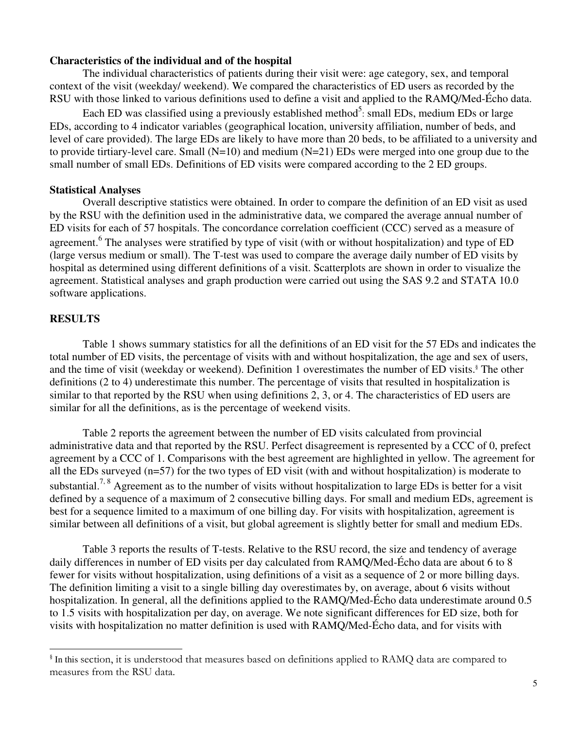#### **Characteristics of the individual and of the hospital**

The individual characteristics of patients during their visit were: age category, sex, and temporal context of the visit (weekday/ weekend). We compared the characteristics of ED users as recorded by the RSU with those linked to various definitions used to define a visit and applied to the RAMQ/Med-Écho data.

Each ED was classified using a previously established method<sup>5</sup>: small EDs, medium EDs or large EDs, according to 4 indicator variables (geographical location, university affiliation, number of beds, and level of care provided). The large EDs are likely to have more than 20 beds, to be affiliated to a university and to provide tirtiary-level care. Small (N=10) and medium (N=21) EDs were merged into one group due to the small number of small EDs. Definitions of ED visits were compared according to the 2 ED groups.

#### **Statistical Analyses**

Overall descriptive statistics were obtained. In order to compare the definition of an ED visit as used by the RSU with the definition used in the administrative data, we compared the average annual number of ED visits for each of 57 hospitals. The concordance correlation coefficient (CCC) served as a measure of agreement.<sup>6</sup> The analyses were stratified by type of visit (with or without hospitalization) and type of ED (large versus medium or small). The T-test was used to compare the average daily number of ED visits by hospital as determined using different definitions of a visit. Scatterplots are shown in order to visualize the agreement. Statistical analyses and graph production were carried out using the SAS 9.2 and STATA 10.0 software applications.

#### **RESULTS**

l

Table 1 shows summary statistics for all the definitions of an ED visit for the 57 EDs and indicates the total number of ED visits, the percentage of visits with and without hospitalization, the age and sex of users, and the time of visit (weekday or weekend). Definition 1 overestimates the number of ED visits.<sup>§</sup> The other definitions (2 to 4) underestimate this number. The percentage of visits that resulted in hospitalization is similar to that reported by the RSU when using definitions 2, 3, or 4. The characteristics of ED users are similar for all the definitions, as is the percentage of weekend visits.

Table 2 reports the agreement between the number of ED visits calculated from provincial administrative data and that reported by the RSU. Perfect disagreement is represented by a CCC of 0, prefect agreement by a CCC of 1. Comparisons with the best agreement are highlighted in yellow. The agreement for all the EDs surveyed (n=57) for the two types of ED visit (with and without hospitalization) is moderate to substantial.<sup>7, 8</sup> Agreement as to the number of visits without hospitalization to large EDs is better for a visit defined by a sequence of a maximum of 2 consecutive billing days. For small and medium EDs, agreement is best for a sequence limited to a maximum of one billing day. For visits with hospitalization, agreement is similar between all definitions of a visit, but global agreement is slightly better for small and medium EDs.

Table 3 reports the results of T-tests. Relative to the RSU record, the size and tendency of average daily differences in number of ED visits per day calculated from RAMQ/Med-Écho data are about 6 to 8 fewer for visits without hospitalization, using definitions of a visit as a sequence of 2 or more billing days. The definition limiting a visit to a single billing day overestimates by, on average, about 6 visits without hospitalization. In general, all the definitions applied to the RAMQ/Med-Écho data underestimate around 0.5 to 1.5 visits with hospitalization per day, on average. We note significant differences for ED size, both for visits with hospitalization no matter definition is used with RAMQ/Med-Écho data, and for visits with

<sup>§</sup> In this section, it is understood that measures based on definitions applied to RAMQ data are compared to measures from the RSU data.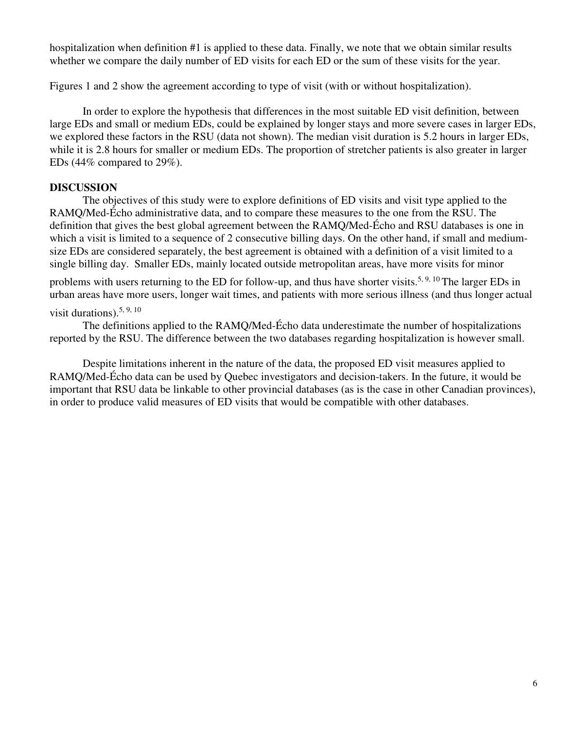hospitalization when definition #1 is applied to these data. Finally, we note that we obtain similar results whether we compare the daily number of ED visits for each ED or the sum of these visits for the year.

Figures 1 and 2 show the agreement according to type of visit (with or without hospitalization).

In order to explore the hypothesis that differences in the most suitable ED visit definition, between large EDs and small or medium EDs, could be explained by longer stays and more severe cases in larger EDs, we explored these factors in the RSU (data not shown). The median visit duration is 5.2 hours in larger EDs, while it is 2.8 hours for smaller or medium EDs. The proportion of stretcher patients is also greater in larger EDs (44% compared to 29%).

# **DISCUSSION**

The objectives of this study were to explore definitions of ED visits and visit type applied to the RAMQ/Med-Écho administrative data, and to compare these measures to the one from the RSU. The definition that gives the best global agreement between the RAMQ/Med-Écho and RSU databases is one in which a visit is limited to a sequence of 2 consecutive billing days. On the other hand, if small and mediumsize EDs are considered separately, the best agreement is obtained with a definition of a visit limited to a single billing day. Smaller EDs, mainly located outside metropolitan areas, have more visits for minor

problems with users returning to the ED for follow-up, and thus have shorter visits.<sup>5, 9, 10</sup> The larger EDs in urban areas have more users, longer wait times, and patients with more serious illness (and thus longer actual

# visit durations).<sup>5, 9, 10</sup>

The definitions applied to the RAMQ/Med-Écho data underestimate the number of hospitalizations reported by the RSU. The difference between the two databases regarding hospitalization is however small.

Despite limitations inherent in the nature of the data, the proposed ED visit measures applied to RAMQ/Med-Écho data can be used by Quebec investigators and decision-takers. In the future, it would be important that RSU data be linkable to other provincial databases (as is the case in other Canadian provinces), in order to produce valid measures of ED visits that would be compatible with other databases.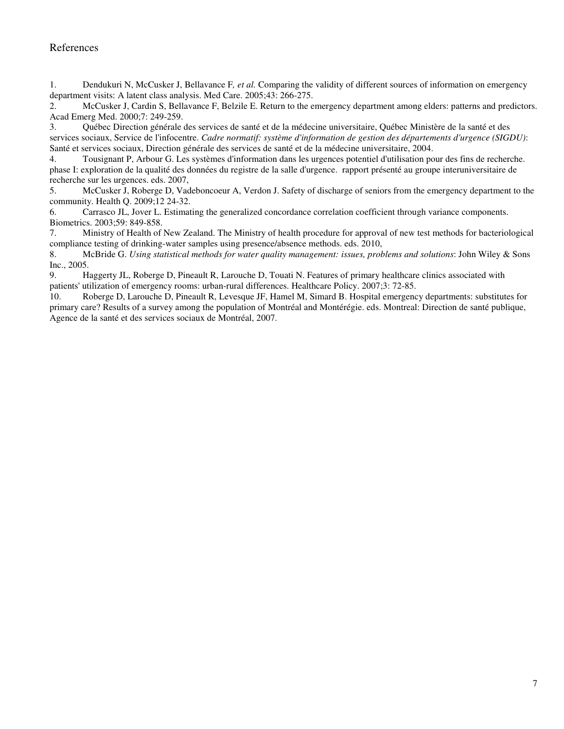#### References

1. Dendukuri N, McCusker J, Bellavance F*, et al.* Comparing the validity of different sources of information on emergency department visits: A latent class analysis. Med Care. 2005;43: 266-275.

2. McCusker J, Cardin S, Bellavance F, Belzile E. Return to the emergency department among elders: patterns and predictors. Acad Emerg Med. 2000;7: 249-259.

3. Québec Direction générale des services de santé et de la médecine universitaire, Québec Ministère de la santé et des services sociaux, Service de l'infocentre. *Cadre normatif: système d'information de gestion des départements d'urgence (SIGDU)*: Santé et services sociaux, Direction générale des services de santé et de la médecine universitaire, 2004.

4. Tousignant P, Arbour G. Les systèmes d'information dans les urgences potentiel d'utilisation pour des fins de recherche. phase I: exploration de la qualité des données du registre de la salle d'urgence. rapport présenté au groupe interuniversitaire de recherche sur les urgences. eds. 2007,

5. McCusker J, Roberge D, Vadeboncoeur A, Verdon J. Safety of discharge of seniors from the emergency department to the community. Health Q. 2009;12 24-32.

6. Carrasco JL, Jover L. Estimating the generalized concordance correlation coefficient through variance components. Biometrics. 2003;59: 849-858.

7. Ministry of Health of New Zealand. The Ministry of health procedure for approval of new test methods for bacteriological compliance testing of drinking-water samples using presence/absence methods. eds. 2010,

8. McBride G. *Using statistical methods for water quality management: issues, problems and solutions*: John Wiley & Sons Inc., 2005.

9. Haggerty JL, Roberge D, Pineault R, Larouche D, Touati N. Features of primary healthcare clinics associated with patients' utilization of emergency rooms: urban-rural differences. Healthcare Policy. 2007;3: 72-85.

10. Roberge D, Larouche D, Pineault R, Levesque JF, Hamel M, Simard B. Hospital emergency departments: substitutes for primary care? Results of a survey among the population of Montréal and Montérégie. eds. Montreal: Direction de santé publique, Agence de la santé et des services sociaux de Montréal, 2007.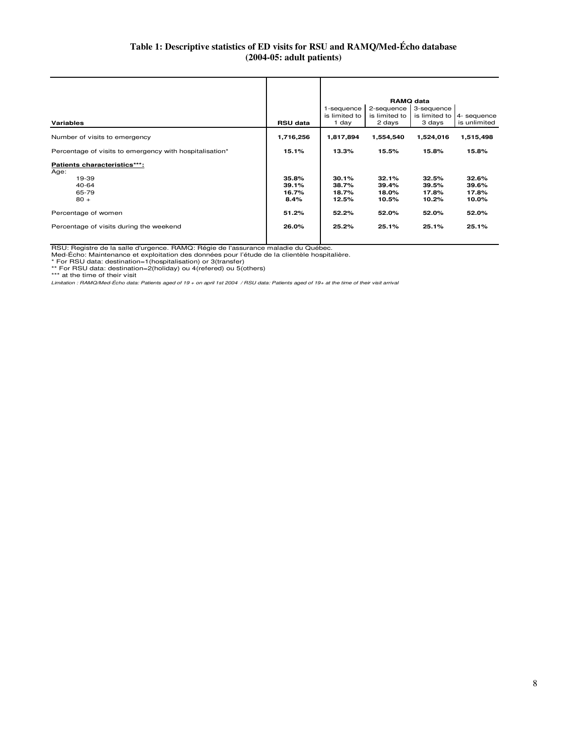#### **Table 1: Descriptive statistics of ED visits for RSU and RAMQ/Med-Écho database (2004-05: adult patients)**

| <b>Variables</b>                                                          | <b>RSU data</b>                 | 1-sequence<br>is limited to<br>1 day | 2-sequence<br>is limited to<br>2 days | <b>RAMQ data</b><br>3-sequence<br>is limited to<br>3 days | 4- sequence<br>is unlimited      |
|---------------------------------------------------------------------------|---------------------------------|--------------------------------------|---------------------------------------|-----------------------------------------------------------|----------------------------------|
| Number of visits to emergency                                             | 1,716,256                       | 1,817,894                            | 1,554,540                             | 1,524,016                                                 | 1,515,498                        |
| Percentage of visits to emergency with hospitalisation*                   | 15.1%                           | 13.3%                                | 15.5%                                 | 15.8%                                                     | 15.8%                            |
| Patients characteristics***:<br>Age:<br>19-39<br>40-64<br>65-79<br>$80 +$ | 35.8%<br>39.1%<br>16.7%<br>8.4% | 30.1%<br>38.7%<br>18.7%<br>12.5%     | 32.1%<br>39.4%<br>18.0%<br>10.5%      | 32.5%<br>39.5%<br>17.8%<br>10.2%                          | 32.6%<br>39.6%<br>17.8%<br>10.0% |
| Percentage of women                                                       | 51.2%                           | 52.2%                                | 52.0%                                 | 52.0%                                                     | 52.0%                            |
| Percentage of visits during the weekend                                   | 26.0%                           | 25.2%                                | 25.1%                                 | 25.1%                                                     | 25.1%                            |

RSU: Registre de la salle d'urgence. RAMQ: Régie de l'assurance maladie du Québec.

Med-Écho: Maintenance et exploitation des données pour l'étude de la clientèle hospitalière.<br>\* For RSU data: destination=1(hospitalisation) or 3(transfer)<br>\*\* For RSU data: destination=2(holiday) ou 4(refered) ou 5(others)<br>

Limitation : RAMQ/Med-Écho data: Patients aged of 19 + on april 1st 2004 / RSU data: Patients aged of 19+ at the time of their visit arrival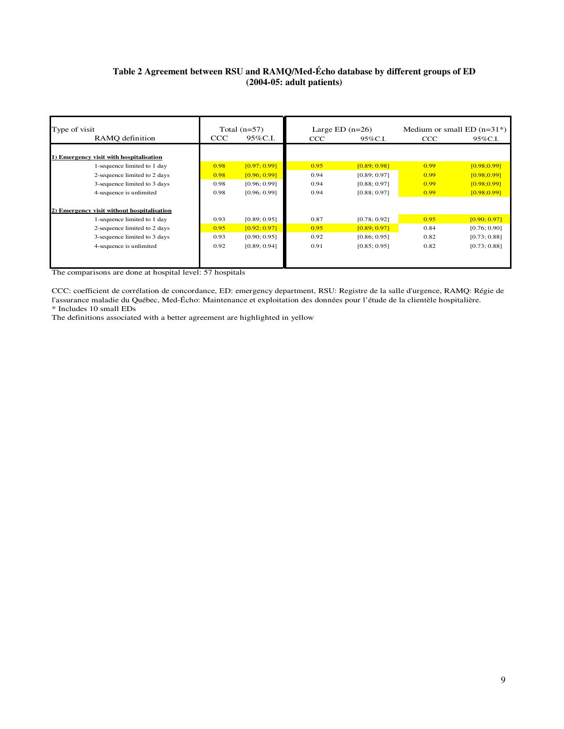#### **Table 2 Agreement between RSU and RAMQ/Med-Écho database by different groups of ED (2004-05: adult patients)**

| Type of visit                              |      | Total $(n=57)$<br>Large ED $(n=26)$ |      |              | Medium or small $ED (n=31*)$ |              |  |
|--------------------------------------------|------|-------------------------------------|------|--------------|------------------------------|--------------|--|
| RAMO definition                            | CCC  | 95%C.I.                             | CCC  | 95%C.I.      | CCC                          | 95%C.I.      |  |
|                                            |      |                                     |      |              |                              |              |  |
| 1) Emergency visit with hospitalisation    |      |                                     |      |              |                              |              |  |
| 1-sequence limited to 1 day                | 0.98 | [0.97; 0.99]                        | 0.95 | [0.89; 0.98] | 0.99                         | [0.98; 0.99] |  |
| 2-sequence limited to 2 days               | 0.98 | [0.96; 0.99]                        | 0.94 | [0.89; 0.97] | 0.99                         | [0.98:0.99]  |  |
| 3-sequence limited to 3 days               | 0.98 | [0.96; 0.99]                        | 0.94 | [0.88; 0.97] | 0.99                         | [0.98:0.99]  |  |
| 4-sequence is unlimited                    | 0.98 | [0.96; 0.99]                        | 0.94 | [0.88; 0.97] | 0.99                         | [0.98:0.99]  |  |
|                                            |      |                                     |      |              |                              |              |  |
| 2) Emergency visit without hospitalisation |      |                                     |      |              |                              |              |  |
| 1-sequence limited to 1 day                | 0.93 | [0.89; 0.95]                        | 0.87 | [0.78; 0.92] | 0.95                         | [0.90; 0.97] |  |
| 2-sequence limited to 2 days               | 0.95 | [0.92; 0.97]                        | 0.95 | [0.89; 0.97] | 0.84                         | [0.76; 0.90] |  |
| 3-sequence limited to 3 days               | 0.93 | [0.90; 0.95]                        | 0.92 | [0.86; 0.95] | 0.82                         | [0.73; 0.88] |  |
| 4-sequence is unlimited                    | 0.92 | [0.89; 0.94]                        | 0.91 | [0.85; 0.95] | 0.82                         | [0.73; 0.88] |  |
|                                            |      |                                     |      |              |                              |              |  |
|                                            |      |                                     |      |              |                              |              |  |

The comparisons are done at hospital level: 57 hospitals

\* Includes 10 small EDs CCC: coefficient de corrélation de concordance, ED: emergency department, RSU: Registre de la salle d'urgence, RAMQ: Régie de l'assurance maladie du Québec, Med-Écho: Maintenance et exploitation des données pour l'étude de la clientèle hospitalière.

The definitions associated with a better agreement are highlighted in yellow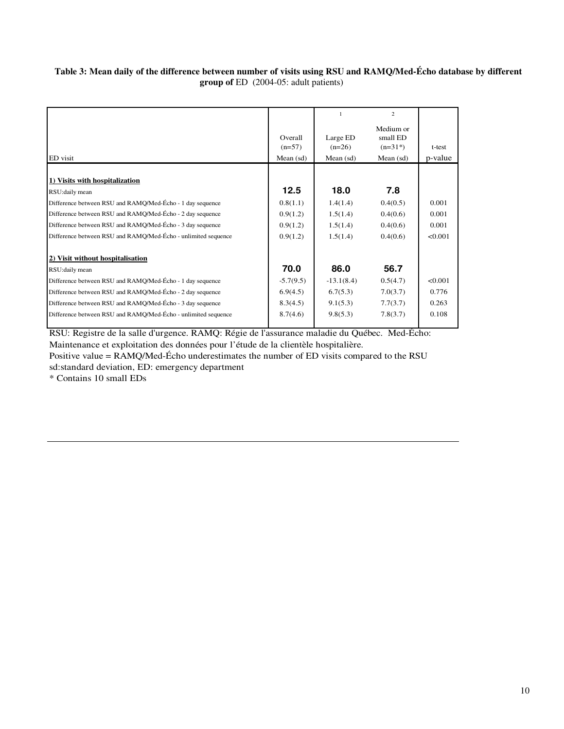#### **Table 3: Mean daily of the difference between number of visits using RSU and RAMQ/Med-Écho database by different group of** ED (2004-05: adult patients)

|                     |                      | $\overline{2}$                     |         |
|---------------------|----------------------|------------------------------------|---------|
| Overall<br>$(n=57)$ | Large ED<br>$(n=26)$ | Medium or<br>small ED<br>$(n=31*)$ | t-test  |
| Mean $(sd)$         | Mean (sd)            | Mean $(sd)$                        | p-value |
|                     |                      |                                    |         |
| 12.5                | 18.0                 | 7.8                                |         |
| 0.8(1.1)            | 1.4(1.4)             | 0.4(0.5)                           | 0.001   |
| 0.9(1.2)            | 1.5(1.4)             | 0.4(0.6)                           | 0.001   |
| 0.9(1.2)            | 1.5(1.4)             | 0.4(0.6)                           | 0.001   |
| 0.9(1.2)            | 1.5(1.4)             | 0.4(0.6)                           | < 0.001 |
|                     |                      |                                    |         |
| 70.0                | 86.0                 | 56.7                               |         |
| $-5.7(9.5)$         | $-13.1(8.4)$         | 0.5(4.7)                           | < 0.001 |
| 6.9(4.5)            | 6.7(5.3)             | 7.0(3.7)                           | 0.776   |
| 8.3(4.5)            | 9.1(5.3)             | 7.7(3.7)                           | 0.263   |
| 8.7(4.6)            | 9.8(5.3)             | 7.8(3.7)                           | 0.108   |
|                     |                      |                                    |         |

RSU: Registre de la salle d'urgence. RAMQ: Régie de l'assurance maladie du Québec. Med-Écho: Maintenance et exploitation des données pour l'étude de la clientèle hospitalière.

Positive value = RAMQ/Med-Écho underestimates the number of ED visits compared to the RSU sd:standard deviation, ED: emergency department

\* Contains 10 small EDs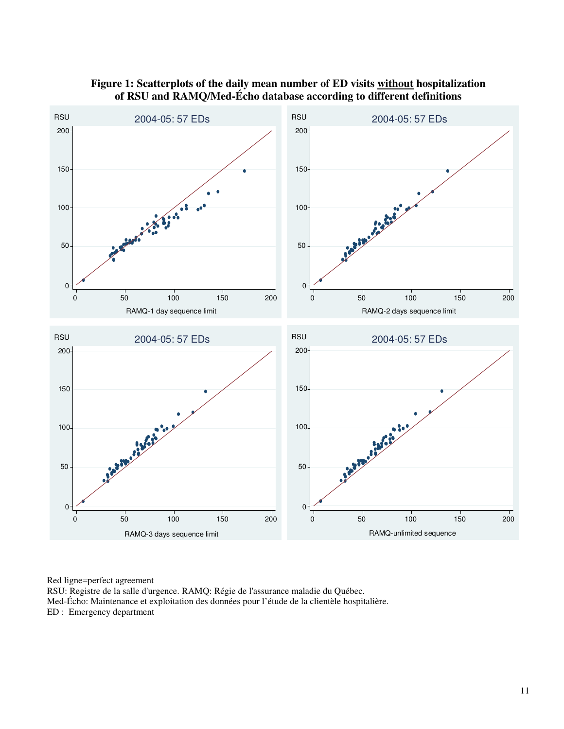

#### **Figure 1: Scatterplots of the daily mean number of ED visits without hospitalization of RSU and RAMQ/Med-Écho database according to different definitions**

Red ligne=perfect agreement

RSU: Registre de la salle d'urgence. RAMQ: Régie de l'assurance maladie du Québec. Med-Écho: Maintenance et exploitation des données pour l'étude de la clientèle hospitalière. ED : Emergency department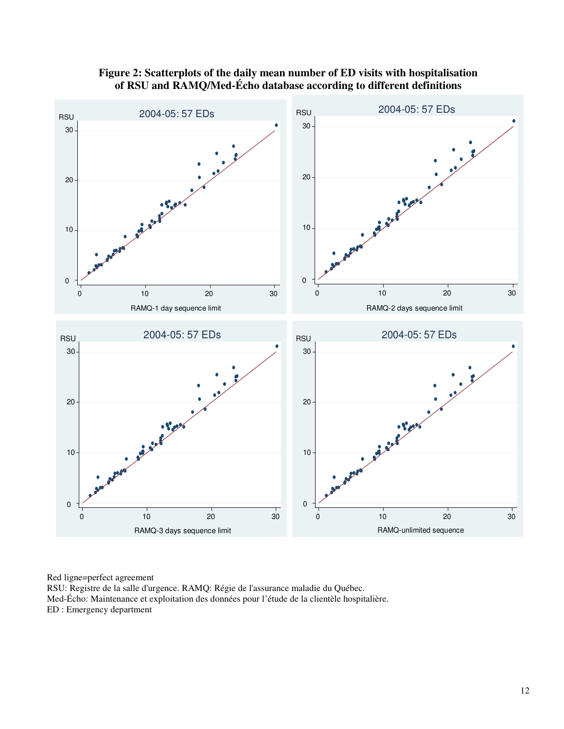

# **Figure 2: Scatterplots of the daily mean number of ED visits with hospitalisation of RSU and RAMQ/Med-Écho database according to different definitions**

Red ligne=perfect agreement RSU: Registre de la salle d'urgence. RAMQ: Régie de l'assurance maladie du Québec. Med-Écho: Maintenance et exploitation des données pour l'étude de la clientèle hospitalière. ED : Emergency department